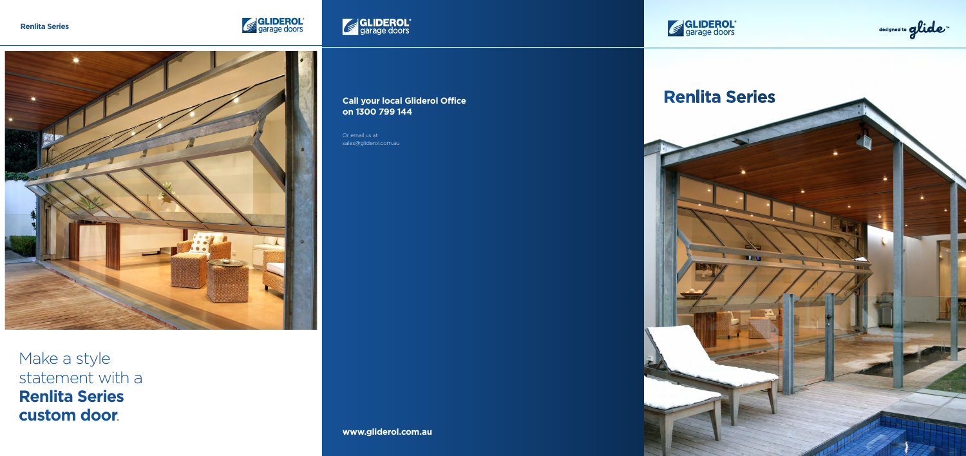

**www.gliderol.com.au**



designed to glide<sup>Th</sup>

## **Call your local Gliderol Office on 1300 799 144**

Or email us at sales@gliderol.com.au







Make a style statement with a **Renlita Series custom door**.